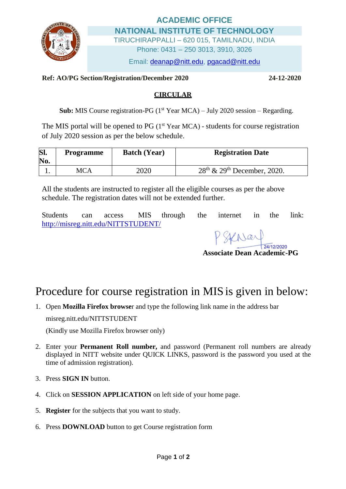

## **ACADEMIC OFFICE NATIONAL INSTITUTE OF TECHNOLOGY** TIRUCHIRAPPALLI – 620 015, TAMILNADU, INDIA

Phone: 0431 – 250 3013, 3910, 3026

Email: [deanap@nitt.edu,](mailto:deanap@nitt.edu) [pgacad@nitt.edu](mailto:pgacad@nitt.edu)

## **Ref: AO/PG Section/Registration/December 2020 24-12-2020**

## **CIRCULAR**

Sub: MIS Course registration-PG (1<sup>st</sup> Year MCA) – July 2020 session – Regarding.

The MIS portal will be opened to PG  $(1<sup>st</sup> Year MCA)$  - students for course registration of July 2020 session as per the below schedule.

| SI.<br>No. | <b>Programme</b> | <b>Batch (Year)</b> | <b>Registration Date</b>        |
|------------|------------------|---------------------|---------------------------------|
|            | MCA              | 2020                | $28th$ & $29th$ December, 2020. |

All the students are instructed to register all the eligible courses as per the above schedule. The registration dates will not be extended further.

Students can access MIS through the internet in the link: <http://misreg.nitt.edu/NITTSTUDENT/>

24/12/2020

**Associate Dean Academic-PG**

## Procedure for course registration in MIS is given in below:

1. Open **Mozilla Firefox browse**r and type the following link name in the address bar

misreg.nitt.edu/NITTSTUDENT

(Kindly use Mozilla Firefox browser only)

- 2. Enter your **Permanent Roll number,** and password (Permanent roll numbers are already displayed in NITT website under QUICK LINKS, password is the password you used at the time of admission registration).
- 3. Press **SIGN IN** button.
- 4. Click on **SESSION APPLICATION** on left side of your home page.
- 5. **Register** for the subjects that you want to study.
- 6. Press **DOWNLOAD** button to get Course registration form